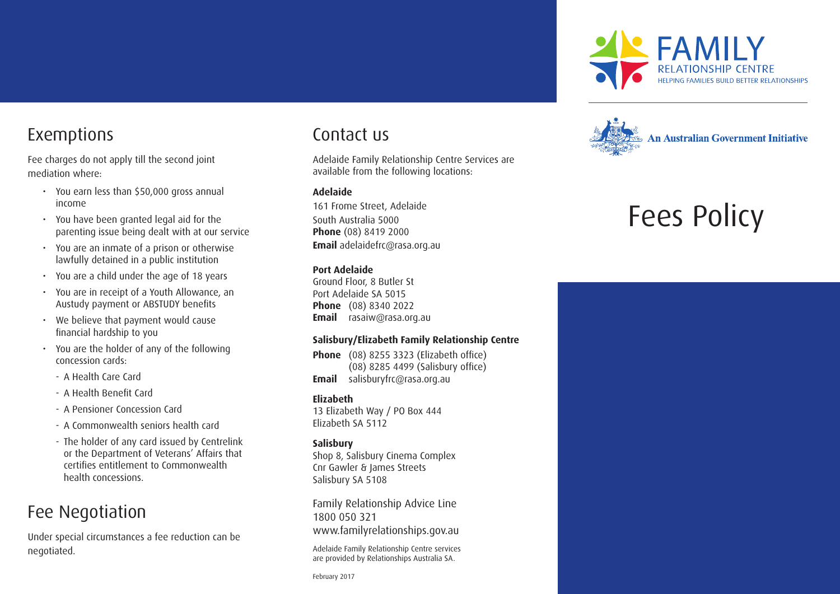

### Exemptions

Fee charges do not apply till the second joint mediation where:

- You earn less than \$50,000 gross annual income
- You have been granted legal aid for the parenting issue being dealt with at our service
- You are an inmate of a prison or otherwise lawfully detained in a public institution
- You are a child under the age of 18 years
- You are in receipt of a Youth Allowance, an Austudy payment or ABSTUDY benefits
- We believe that payment would cause financial hardship to you
- You are the holder of any of the following concession cards:
	- A Health Care Card
	- A Health Benefit Card
	- A Pensioner Concession Card
	- A Commonwealth seniors health card
	- The holder of any card issued by Centrelink or the Department of Veterans' Affairs that certifies entitlement to Commonwealth health concessions.

### Fee Negotiation

Under special circumstances a fee reduction can be negotiated.

### Contact us

Adelaide Family Relationship Centre Services are available from the following locations:

#### **Adelaide**

161 Frome Street, Adelaide South Australia 5000 **Phone** (08) 8419 2000 **Email** adelaidefrc@rasa.org.au

#### **Port Adelaide**

Ground Floor, 8 Butler St Port Adelaide SA 5015 **Phone** (08) 8340 2022 **Email** rasaiw@rasa.org.au

#### **Salisbury/Elizabeth Family Relationship Centre**

**Phone** (08) 8255 3323 (Elizabeth office) (08) 8285 4499 (Salisbury office) **Email** salisburyfrc@rasa.org.au

#### **Elizabeth**

13 Elizabeth Way / PO Box 444 Elizabeth SA 5112

#### **Salisbury**

Shop 8, Salisbury Cinema Complex Cnr Gawler & James Streets Salisbury SA 5108

Family Relationship Advice Line 1800 050 321 www.familyrelationships.gov.au

Adelaide Family Relationship Centre services are provided by Relationships Australia SA.

February 2017



# Fees Policy